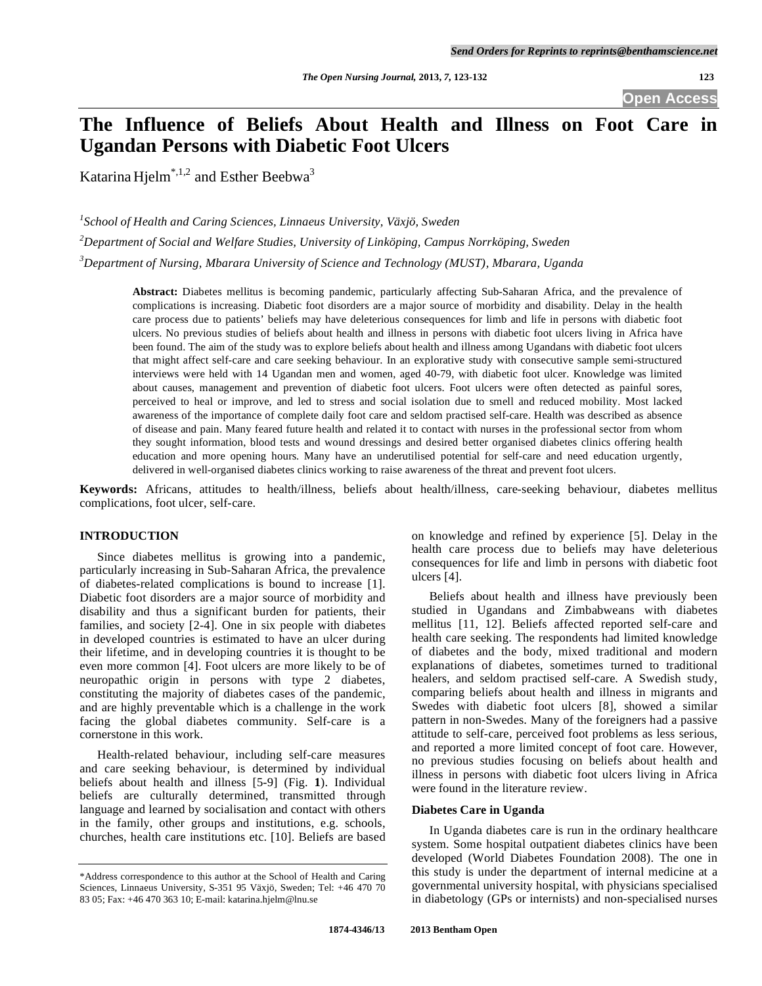**Open Access** 

# **The Influence of Beliefs About Health and Illness on Foot Care in Ugandan Persons with Diabetic Foot Ulcers**

Katarina Hjelm\*,1,2 and Esther Beebwa3

<sup>1</sup> School of Health and Caring Sciences, Linnaeus University, Växjö, Sweden

*2 Department of Social and Welfare Studies, University of Linköping, Campus Norrköping, Sweden* 

*3 Department of Nursing, Mbarara University of Science and Technology (MUST), Mbarara, Uganda* 

**Abstract:** Diabetes mellitus is becoming pandemic, particularly affecting Sub-Saharan Africa, and the prevalence of complications is increasing. Diabetic foot disorders are a major source of morbidity and disability. Delay in the health care process due to patients' beliefs may have deleterious consequences for limb and life in persons with diabetic foot ulcers. No previous studies of beliefs about health and illness in persons with diabetic foot ulcers living in Africa have been found. The aim of the study was to explore beliefs about health and illness among Ugandans with diabetic foot ulcers that might affect self-care and care seeking behaviour. In an explorative study with consecutive sample semi-structured interviews were held with 14 Ugandan men and women, aged 40-79, with diabetic foot ulcer. Knowledge was limited about causes, management and prevention of diabetic foot ulcers. Foot ulcers were often detected as painful sores, perceived to heal or improve, and led to stress and social isolation due to smell and reduced mobility. Most lacked awareness of the importance of complete daily foot care and seldom practised self-care. Health was described as absence of disease and pain. Many feared future health and related it to contact with nurses in the professional sector from whom they sought information, blood tests and wound dressings and desired better organised diabetes clinics offering health education and more opening hours. Many have an underutilised potential for self-care and need education urgently, delivered in well-organised diabetes clinics working to raise awareness of the threat and prevent foot ulcers.

**Keywords:** Africans, attitudes to health/illness, beliefs about health/illness, care-seeking behaviour, diabetes mellitus complications, foot ulcer, self-care.

# **INTRODUCTION**

 Since diabetes mellitus is growing into a pandemic, particularly increasing in Sub-Saharan Africa, the prevalence of diabetes-related complications is bound to increase [1]. Diabetic foot disorders are a major source of morbidity and disability and thus a significant burden for patients, their families, and society [2-4]. One in six people with diabetes in developed countries is estimated to have an ulcer during their lifetime, and in developing countries it is thought to be even more common [4]. Foot ulcers are more likely to be of neuropathic origin in persons with type 2 diabetes, constituting the majority of diabetes cases of the pandemic, and are highly preventable which is a challenge in the work facing the global diabetes community. Self-care is a cornerstone in this work.

 Health-related behaviour, including self-care measures and care seeking behaviour, is determined by individual beliefs about health and illness [5-9] (Fig. **1**). Individual beliefs are culturally determined, transmitted through language and learned by socialisation and contact with others in the family, other groups and institutions, e.g. schools, churches, health care institutions etc. [10]. Beliefs are based

on knowledge and refined by experience [5]. Delay in the health care process due to beliefs may have deleterious consequences for life and limb in persons with diabetic foot ulcers [4].

 Beliefs about health and illness have previously been studied in Ugandans and Zimbabweans with diabetes mellitus [11, 12]. Beliefs affected reported self-care and health care seeking. The respondents had limited knowledge of diabetes and the body, mixed traditional and modern explanations of diabetes, sometimes turned to traditional healers, and seldom practised self-care. A Swedish study, comparing beliefs about health and illness in migrants and Swedes with diabetic foot ulcers [8], showed a similar pattern in non-Swedes. Many of the foreigners had a passive attitude to self-care, perceived foot problems as less serious, and reported a more limited concept of foot care. However, no previous studies focusing on beliefs about health and illness in persons with diabetic foot ulcers living in Africa were found in the literature review.

# **Diabetes Care in Uganda**

 In Uganda diabetes care is run in the ordinary healthcare system. Some hospital outpatient diabetes clinics have been developed (World Diabetes Foundation 2008). The one in this study is under the department of internal medicine at a governmental university hospital, with physicians specialised in diabetology (GPs or internists) and non-specialised nurses

<sup>\*</sup>Address correspondence to this author at the School of Health and Caring Sciences, Linnaeus University, S-351 95 Växjö, Sweden; Tel: +46 470 70 83 05; Fax: +46 470 363 10; E-mail: katarina.hjelm@lnu.se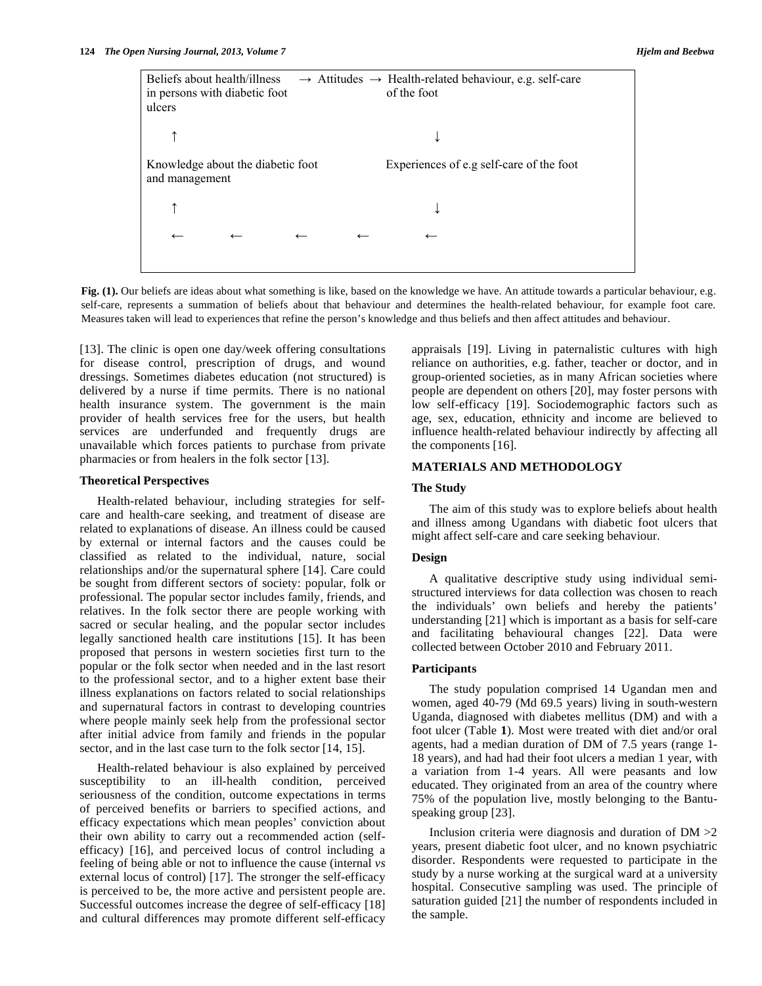Beliefs about health/illness  $\rightarrow$  Attitudes  $\rightarrow$  Health-related behaviour, e.g. self-care in persons with diabetic foot of the foot ulcers  $\uparrow$   $\downarrow$ Knowledge about the diabetic foot Experiences of e.g self-care of the foot and management ↑ **↓ ← ← ← ← ←**

Fig. (1). Our beliefs are ideas about what something is like, based on the knowledge we have. An attitude towards a particular behaviour, e.g. self-care, represents a summation of beliefs about that behaviour and determines the health-related behaviour, for example foot care. Measures taken will lead to experiences that refine the person's knowledge and thus beliefs and then affect attitudes and behaviour.

[13]. The clinic is open one day/week offering consultations for disease control, prescription of drugs, and wound dressings. Sometimes diabetes education (not structured) is delivered by a nurse if time permits. There is no national health insurance system. The government is the main provider of health services free for the users, but health services are underfunded and frequently drugs are unavailable which forces patients to purchase from private pharmacies or from healers in the folk sector [13].

### **Theoretical Perspectives**

 Health-related behaviour, including strategies for selfcare and health-care seeking, and treatment of disease are related to explanations of disease. An illness could be caused by external or internal factors and the causes could be classified as related to the individual, nature, social relationships and/or the supernatural sphere [14]. Care could be sought from different sectors of society: popular, folk or professional. The popular sector includes family, friends, and relatives. In the folk sector there are people working with sacred or secular healing, and the popular sector includes legally sanctioned health care institutions [15]. It has been proposed that persons in western societies first turn to the popular or the folk sector when needed and in the last resort to the professional sector, and to a higher extent base their illness explanations on factors related to social relationships and supernatural factors in contrast to developing countries where people mainly seek help from the professional sector after initial advice from family and friends in the popular sector, and in the last case turn to the folk sector [14, 15].

 Health-related behaviour is also explained by perceived susceptibility to an ill-health condition, perceived seriousness of the condition, outcome expectations in terms of perceived benefits or barriers to specified actions, and efficacy expectations which mean peoples' conviction about their own ability to carry out a recommended action (selfefficacy) [16], and perceived locus of control including a feeling of being able or not to influence the cause (internal *vs* external locus of control) [17]. The stronger the self-efficacy is perceived to be, the more active and persistent people are. Successful outcomes increase the degree of self-efficacy [18] and cultural differences may promote different self-efficacy

appraisals [19]. Living in paternalistic cultures with high reliance on authorities, e.g. father, teacher or doctor, and in group-oriented societies, as in many African societies where people are dependent on others [20], may foster persons with low self-efficacy [19]. Sociodemographic factors such as age, sex, education, ethnicity and income are believed to influence health-related behaviour indirectly by affecting all the components [16].

### **MATERIALS AND METHODOLOGY**

#### **The Study**

 The aim of this study was to explore beliefs about health and illness among Ugandans with diabetic foot ulcers that might affect self-care and care seeking behaviour.

#### **Design**

 A qualitative descriptive study using individual semistructured interviews for data collection was chosen to reach the individuals' own beliefs and hereby the patients' understanding [21] which is important as a basis for self-care and facilitating behavioural changes [22]. Data were collected between October 2010 and February 2011.

#### **Participants**

 The study population comprised 14 Ugandan men and women, aged 40-79 (Md 69.5 years) living in south-western Uganda, diagnosed with diabetes mellitus (DM) and with a foot ulcer (Table **1**). Most were treated with diet and/or oral agents, had a median duration of DM of 7.5 years (range 1- 18 years), and had had their foot ulcers a median 1 year, with a variation from 1-4 years. All were peasants and low educated. They originated from an area of the country where 75% of the population live, mostly belonging to the Bantuspeaking group [23].

 Inclusion criteria were diagnosis and duration of DM >2 years, present diabetic foot ulcer, and no known psychiatric disorder. Respondents were requested to participate in the study by a nurse working at the surgical ward at a university hospital. Consecutive sampling was used. The principle of saturation guided [21] the number of respondents included in the sample.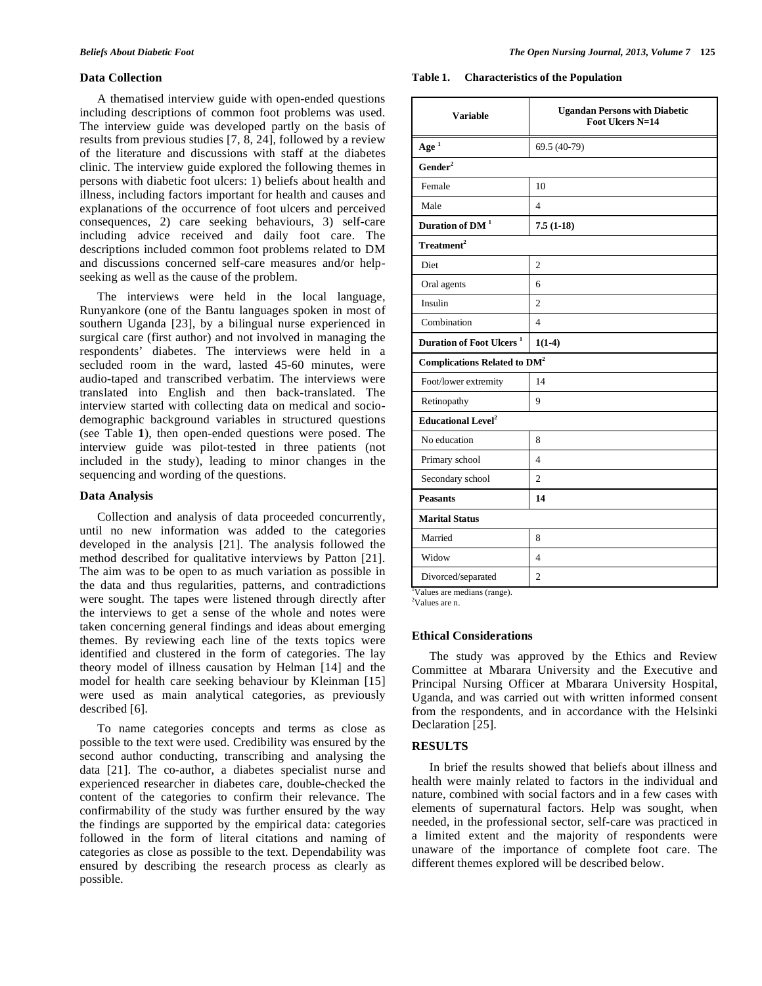# **Data Collection**

 A thematised interview guide with open-ended questions including descriptions of common foot problems was used. The interview guide was developed partly on the basis of results from previous studies [7, 8, 24], followed by a review of the literature and discussions with staff at the diabetes clinic. The interview guide explored the following themes in persons with diabetic foot ulcers: 1) beliefs about health and illness, including factors important for health and causes and explanations of the occurrence of foot ulcers and perceived consequences, 2) care seeking behaviours, 3) self-care including advice received and daily foot care. The descriptions included common foot problems related to DM and discussions concerned self-care measures and/or helpseeking as well as the cause of the problem.

 The interviews were held in the local language, Runyankore (one of the Bantu languages spoken in most of southern Uganda [23], by a bilingual nurse experienced in surgical care (first author) and not involved in managing the respondents' diabetes. The interviews were held in a secluded room in the ward, lasted 45-60 minutes, were audio-taped and transcribed verbatim. The interviews were translated into English and then back-translated. The interview started with collecting data on medical and sociodemographic background variables in structured questions (see Table **1**), then open-ended questions were posed. The interview guide was pilot-tested in three patients (not included in the study), leading to minor changes in the sequencing and wording of the questions.

# **Data Analysis**

 Collection and analysis of data proceeded concurrently, until no new information was added to the categories developed in the analysis [21]. The analysis followed the method described for qualitative interviews by Patton [21]. The aim was to be open to as much variation as possible in the data and thus regularities, patterns, and contradictions were sought. The tapes were listened through directly after the interviews to get a sense of the whole and notes were taken concerning general findings and ideas about emerging themes. By reviewing each line of the texts topics were identified and clustered in the form of categories. The lay theory model of illness causation by Helman [14] and the model for health care seeking behaviour by Kleinman [15] were used as main analytical categories, as previously described [6].

 To name categories concepts and terms as close as possible to the text were used. Credibility was ensured by the second author conducting, transcribing and analysing the data [21]. The co-author, a diabetes specialist nurse and experienced researcher in diabetes care, double-checked the content of the categories to confirm their relevance. The confirmability of the study was further ensured by the way the findings are supported by the empirical data: categories followed in the form of literal citations and naming of categories as close as possible to the text. Dependability was ensured by describing the research process as clearly as possible.

**Table 1. Characteristics of the Population** 

| <b>Variable</b>                          | <b>Ugandan Persons with Diabetic</b><br>Foot Ulcers N=14 |  |  |  |
|------------------------------------------|----------------------------------------------------------|--|--|--|
| Age <sup>1</sup>                         | 69.5 (40-79)                                             |  |  |  |
| Gender <sup>2</sup>                      |                                                          |  |  |  |
| Female                                   | 10                                                       |  |  |  |
| Male                                     | $\overline{4}$                                           |  |  |  |
| Duration of DM <sup>1</sup>              | $7.5(1-18)$                                              |  |  |  |
| Treatment <sup>2</sup>                   |                                                          |  |  |  |
| <b>Diet</b>                              | 2                                                        |  |  |  |
| Oral agents                              | 6                                                        |  |  |  |
| Insulin                                  | $\mathfrak{D}$                                           |  |  |  |
| Combination                              | $\overline{\mathcal{L}}$                                 |  |  |  |
| Duration of Foot Ulcers <sup>1</sup>     | $1(1-4)$                                                 |  |  |  |
| Complications Related to DM <sup>2</sup> |                                                          |  |  |  |
| Foot/lower extremity                     | 14                                                       |  |  |  |
| Retinopathy                              | 9                                                        |  |  |  |
| <b>Educational Level<sup>2</sup></b>     |                                                          |  |  |  |
| No education                             | 8                                                        |  |  |  |
| Primary school                           | $\overline{\mathcal{L}}$                                 |  |  |  |
| Secondary school                         | $\mathfrak{D}$                                           |  |  |  |
| <b>Peasants</b>                          | 14                                                       |  |  |  |
| <b>Marital Status</b>                    |                                                          |  |  |  |
| Married                                  | 8                                                        |  |  |  |
| Widow                                    | $\Delta$                                                 |  |  |  |
| Divorced/separated                       | $\mathfrak{D}$                                           |  |  |  |

1 Values are medians (range).

2 Values are n.

# **Ethical Considerations**

 The study was approved by the Ethics and Review Committee at Mbarara University and the Executive and Principal Nursing Officer at Mbarara University Hospital, Uganda, and was carried out with written informed consent from the respondents, and in accordance with the Helsinki Declaration [25].

# **RESULTS**

 In brief the results showed that beliefs about illness and health were mainly related to factors in the individual and nature, combined with social factors and in a few cases with elements of supernatural factors. Help was sought, when needed, in the professional sector, self-care was practiced in a limited extent and the majority of respondents were unaware of the importance of complete foot care. The different themes explored will be described below.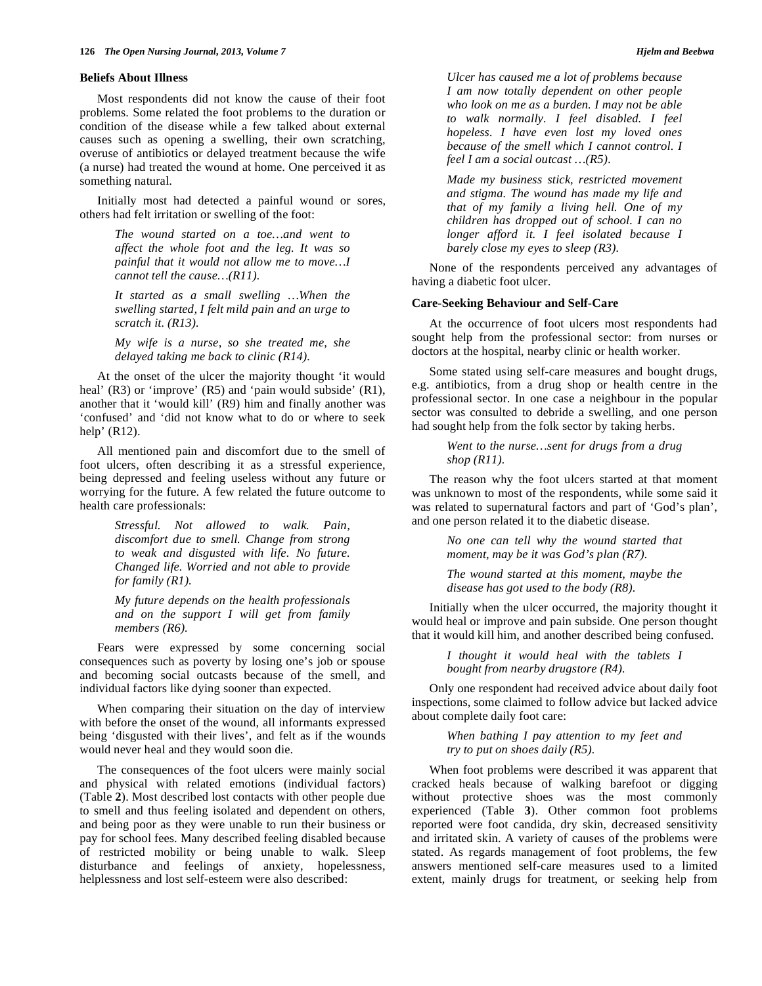#### **Beliefs About Illness**

 Most respondents did not know the cause of their foot problems. Some related the foot problems to the duration or condition of the disease while a few talked about external causes such as opening a swelling, their own scratching, overuse of antibiotics or delayed treatment because the wife (a nurse) had treated the wound at home. One perceived it as something natural.

 Initially most had detected a painful wound or sores, others had felt irritation or swelling of the foot:

> *The wound started on a toe…and went to affect the whole foot and the leg. It was so painful that it would not allow me to move…I cannot tell the cause…(R11).*

> *It started as a small swelling …When the swelling started, I felt mild pain and an urge to scratch it. (R13).*

> *My wife is a nurse, so she treated me, she delayed taking me back to clinic (R14).*

 At the onset of the ulcer the majority thought 'it would heal' (R3) or 'improve' (R5) and 'pain would subside' (R1), another that it 'would kill' (R9) him and finally another was 'confused' and 'did not know what to do or where to seek help' (R12).

 All mentioned pain and discomfort due to the smell of foot ulcers, often describing it as a stressful experience, being depressed and feeling useless without any future or worrying for the future. A few related the future outcome to health care professionals:

> *Stressful. Not allowed to walk. Pain, discomfort due to smell. Change from strong to weak and disgusted with life. No future. Changed life. Worried and not able to provide for family (R1).*

> *My future depends on the health professionals and on the support I will get from family members (R6).*

 Fears were expressed by some concerning social consequences such as poverty by losing one's job or spouse and becoming social outcasts because of the smell, and individual factors like dying sooner than expected.

 When comparing their situation on the day of interview with before the onset of the wound, all informants expressed being 'disgusted with their lives', and felt as if the wounds would never heal and they would soon die.

 The consequences of the foot ulcers were mainly social and physical with related emotions (individual factors) (Table **2**). Most described lost contacts with other people due to smell and thus feeling isolated and dependent on others, and being poor as they were unable to run their business or pay for school fees. Many described feeling disabled because of restricted mobility or being unable to walk. Sleep disturbance and feelings of anxiety, hopelessness, helplessness and lost self-esteem were also described:

*Ulcer has caused me a lot of problems because I am now totally dependent on other people who look on me as a burden. I may not be able to walk normally. I feel disabled. I feel hopeless. I have even lost my loved ones because of the smell which I cannot control. I feel I am a social outcast …(R5).* 

*Made my business stick, restricted movement and stigma. The wound has made my life and that of my family a living hell. One of my children has dropped out of school. I can no longer afford it. I feel isolated because I barely close my eyes to sleep (R3).* 

 None of the respondents perceived any advantages of having a diabetic foot ulcer.

### **Care-Seeking Behaviour and Self-Care**

 At the occurrence of foot ulcers most respondents had sought help from the professional sector: from nurses or doctors at the hospital, nearby clinic or health worker.

 Some stated using self-care measures and bought drugs, e.g. antibiotics, from a drug shop or health centre in the professional sector. In one case a neighbour in the popular sector was consulted to debride a swelling, and one person had sought help from the folk sector by taking herbs.

> *Went to the nurse…sent for drugs from a drug shop (R11).*

 The reason why the foot ulcers started at that moment was unknown to most of the respondents, while some said it was related to supernatural factors and part of 'God's plan', and one person related it to the diabetic disease.

> *No one can tell why the wound started that moment, may be it was God's plan (R7).*

> *The wound started at this moment, maybe the disease has got used to the body (R8).*

 Initially when the ulcer occurred, the majority thought it would heal or improve and pain subside. One person thought that it would kill him, and another described being confused.

> *I thought it would heal with the tablets I bought from nearby drugstore (R4).*

 Only one respondent had received advice about daily foot inspections, some claimed to follow advice but lacked advice about complete daily foot care:

> *When bathing I pay attention to my feet and try to put on shoes daily (R5).*

 When foot problems were described it was apparent that cracked heals because of walking barefoot or digging without protective shoes was the most commonly experienced (Table **3**). Other common foot problems reported were foot candida, dry skin, decreased sensitivity and irritated skin. A variety of causes of the problems were stated. As regards management of foot problems, the few answers mentioned self-care measures used to a limited extent, mainly drugs for treatment, or seeking help from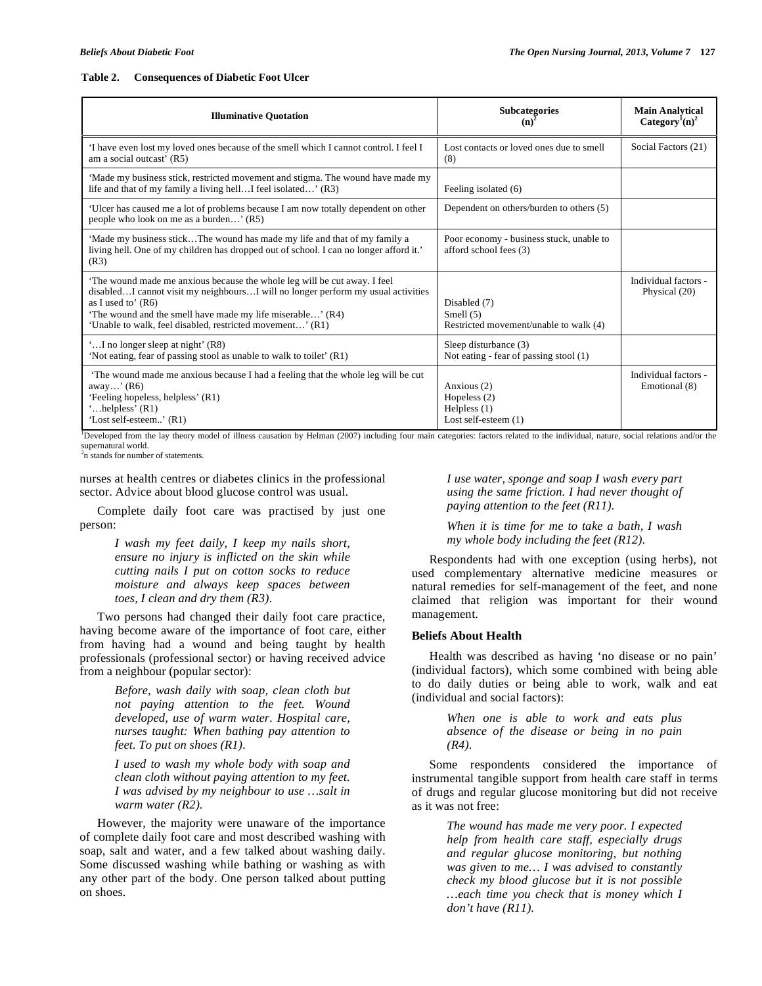#### **Table 2. Consequences of Diabetic Foot Ulcer**

| <b>Illuminative Quotation</b>                                                                                                                                                                                                                                                                                   | <b>Subcategories</b><br>$(n)^2$                                           | <b>Main Analytical</b><br>Category <sup>1</sup> (n) <sup>2</sup> |
|-----------------------------------------------------------------------------------------------------------------------------------------------------------------------------------------------------------------------------------------------------------------------------------------------------------------|---------------------------------------------------------------------------|------------------------------------------------------------------|
| 'I have even lost my loved ones because of the smell which I cannot control. I feel I<br>am a social outcast' (R5)                                                                                                                                                                                              | Lost contacts or loved ones due to smell<br>(8)                           | Social Factors (21)                                              |
| 'Made my business stick, restricted movement and stigma. The wound have made my<br>life and that of my family a living hell I feel isolated' (R3)                                                                                                                                                               | Feeling isolated (6)                                                      |                                                                  |
| Ulcer has caused me a lot of problems because I am now totally dependent on other<br>people who look on me as a burden' (R5)                                                                                                                                                                                    | Dependent on others/burden to others (5)                                  |                                                                  |
| 'Made my business stickThe wound has made my life and that of my family a<br>living hell. One of my children has dropped out of school. I can no longer afford it.'<br>(R3)                                                                                                                                     | Poor economy - business stuck, unable to<br>afford school fees (3)        |                                                                  |
| The wound made me anxious because the whole leg will be cut away. I feel<br>disabledI cannot visit my neighboursI will no longer perform my usual activities<br>as I used to' $(R6)$<br>'The wound and the smell have made my life miserable' (R4)<br>'Unable to walk, feel disabled, restricted movement' (R1) | Disabled (7)<br>Smell $(5)$<br>Restricted movement/unable to walk (4)     | Individual factors -<br>Physical (20)                            |
| "I no longer sleep at night" (R8)<br>'Not eating, fear of passing stool as unable to walk to toilet' (R1)                                                                                                                                                                                                       | Sleep disturbance (3)<br>Not eating - fear of passing stool (1)           |                                                                  |
| The wound made me anxious because I had a feeling that the whole leg will be cut<br>away' $(R6)$<br>'Feeling hopeless, helpless' (R1)<br>helpless' $(R1)$<br>'Lost self-esteem' (R1)                                                                                                                            | Anxious (2)<br>Hopeless $(2)$<br>Helpless $(1)$<br>Lost self-esteem $(1)$ | Individual factors -<br>Emotional (8)                            |

1 Developed from the lay theory model of illness causation by Helman (2007) including four main categories: factors related to the individual, nature, social relations and/or the supernatural world.

<sup>2</sup>n stands for number of statements.

nurses at health centres or diabetes clinics in the professional sector. Advice about blood glucose control was usual.

 Complete daily foot care was practised by just one person:

> *I wash my feet daily, I keep my nails short, ensure no injury is inflicted on the skin while cutting nails I put on cotton socks to reduce moisture and always keep spaces between toes, I clean and dry them (R3).*

 Two persons had changed their daily foot care practice, having become aware of the importance of foot care, either from having had a wound and being taught by health professionals (professional sector) or having received advice from a neighbour (popular sector):

> *Before, wash daily with soap, clean cloth but not paying attention to the feet. Wound developed, use of warm water. Hospital care, nurses taught: When bathing pay attention to feet. To put on shoes (R1).*

> *I used to wash my whole body with soap and clean cloth without paying attention to my feet. I was advised by my neighbour to use …salt in warm water (R2).*

 However, the majority were unaware of the importance of complete daily foot care and most described washing with soap, salt and water, and a few talked about washing daily. Some discussed washing while bathing or washing as with any other part of the body. One person talked about putting on shoes.

*I use water, sponge and soap I wash every part using the same friction. I had never thought of paying attention to the feet (R11).* 

*When it is time for me to take a bath, I wash my whole body including the feet (R12).* 

 Respondents had with one exception (using herbs), not used complementary alternative medicine measures or natural remedies for self-management of the feet, and none claimed that religion was important for their wound management.

# **Beliefs About Health**

 Health was described as having 'no disease or no pain' (individual factors), which some combined with being able to do daily duties or being able to work, walk and eat (individual and social factors):

> *When one is able to work and eats plus absence of the disease or being in no pain (R4).*

 Some respondents considered the importance of instrumental tangible support from health care staff in terms of drugs and regular glucose monitoring but did not receive as it was not free:

> *The wound has made me very poor. I expected help from health care staff, especially drugs and regular glucose monitoring, but nothing was given to me… I was advised to constantly check my blood glucose but it is not possible …each time you check that is money which I don't have (R11).*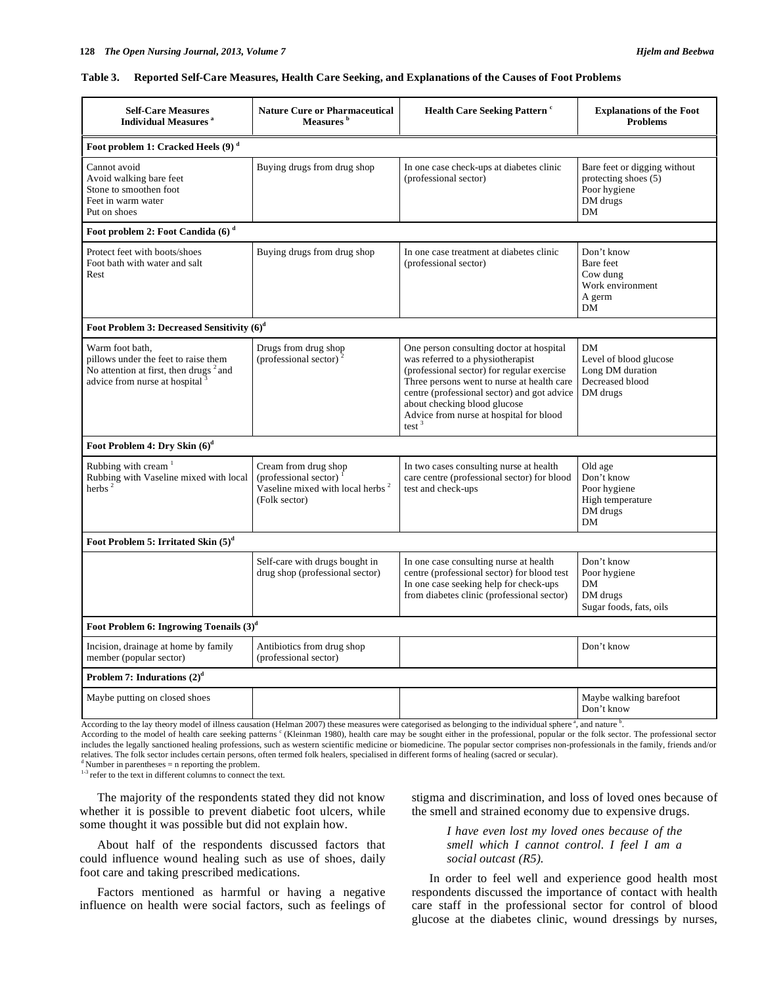#### **Table 3. Reported Self-Care Measures, Health Care Seeking, and Explanations of the Causes of Foot Problems**

| <b>Self-Care Measures</b><br><b>Individual Measures</b> <sup>a</sup>                                                                             | <b>Nature Cure or Pharmaceutical</b><br>Measures <sup>b</sup>                                                               | <b>Health Care Seeking Pattern c</b>                                                                                                                                                                                                                                                                            | <b>Explanations of the Foot</b><br><b>Problems</b>                                     |  |  |
|--------------------------------------------------------------------------------------------------------------------------------------------------|-----------------------------------------------------------------------------------------------------------------------------|-----------------------------------------------------------------------------------------------------------------------------------------------------------------------------------------------------------------------------------------------------------------------------------------------------------------|----------------------------------------------------------------------------------------|--|--|
| Foot problem 1: Cracked Heels (9) <sup>d</sup>                                                                                                   |                                                                                                                             |                                                                                                                                                                                                                                                                                                                 |                                                                                        |  |  |
| Cannot avoid<br>Avoid walking bare feet<br>Stone to smoothen foot<br>Feet in warm water<br>Put on shoes                                          | Buying drugs from drug shop                                                                                                 | In one case check-ups at diabetes clinic<br>(professional sector)                                                                                                                                                                                                                                               | Bare feet or digging without<br>protecting shoes (5)<br>Poor hygiene<br>DM drugs<br>DM |  |  |
| Foot problem 2: Foot Candida (6) <sup>d</sup>                                                                                                    |                                                                                                                             |                                                                                                                                                                                                                                                                                                                 |                                                                                        |  |  |
| Protect feet with boots/shoes<br>Foot bath with water and salt<br>Rest                                                                           | Buying drugs from drug shop                                                                                                 | In one case treatment at diabetes clinic<br>(professional sector)                                                                                                                                                                                                                                               | Don't know<br>Bare feet<br>Cow dung<br>Work environment<br>A germ<br>DM                |  |  |
| Foot Problem 3: Decreased Sensitivity (6) <sup>d</sup>                                                                                           |                                                                                                                             |                                                                                                                                                                                                                                                                                                                 |                                                                                        |  |  |
| Warm foot bath,<br>pillows under the feet to raise them<br>No attention at first, then drugs <sup>2</sup> and<br>advice from nurse at hospital 3 | Drugs from drug shop<br>(professional sector) <sup>2</sup>                                                                  | One person consulting doctor at hospital<br>was referred to a physiotherapist<br>(professional sector) for regular exercise<br>Three persons went to nurse at health care<br>centre (professional sector) and got advice<br>about checking blood glucose<br>Advice from nurse at hospital for blood<br>test $3$ | DM<br>Level of blood glucose<br>Long DM duration<br>Decreased blood<br>DM drugs        |  |  |
| Foot Problem 4: Dry Skin (6) <sup>d</sup>                                                                                                        |                                                                                                                             |                                                                                                                                                                                                                                                                                                                 |                                                                                        |  |  |
| Rubbing with cream <sup>1</sup><br>Rubbing with Vaseline mixed with local<br>herbs $^2$                                                          | Cream from drug shop<br>(professional sector) <sup>1</sup><br>Vaseline mixed with local herbs <sup>2</sup><br>(Folk sector) | In two cases consulting nurse at health<br>care centre (professional sector) for blood<br>test and check-ups                                                                                                                                                                                                    | Old age<br>Don't know<br>Poor hygiene<br>High temperature<br>DM drugs<br>DM            |  |  |
| Foot Problem 5: Irritated Skin (5) <sup>d</sup>                                                                                                  |                                                                                                                             |                                                                                                                                                                                                                                                                                                                 |                                                                                        |  |  |
|                                                                                                                                                  | Self-care with drugs bought in<br>drug shop (professional sector)                                                           | In one case consulting nurse at health<br>centre (professional sector) for blood test<br>In one case seeking help for check-ups<br>from diabetes clinic (professional sector)                                                                                                                                   | Don't know<br>Poor hygiene<br>DM<br>DM drugs<br>Sugar foods, fats, oils                |  |  |
| Foot Problem 6: Ingrowing Toenails (3) <sup>d</sup>                                                                                              |                                                                                                                             |                                                                                                                                                                                                                                                                                                                 |                                                                                        |  |  |
| Incision, drainage at home by family<br>member (popular sector)                                                                                  | Antibiotics from drug shop<br>(professional sector)                                                                         |                                                                                                                                                                                                                                                                                                                 | Don't know                                                                             |  |  |
| Problem 7: Indurations $(2)^d$                                                                                                                   |                                                                                                                             |                                                                                                                                                                                                                                                                                                                 |                                                                                        |  |  |
| Maybe putting on closed shoes                                                                                                                    |                                                                                                                             |                                                                                                                                                                                                                                                                                                                 | Maybe walking barefoot<br>Don't know                                                   |  |  |

According to the lay theory model of illness causation (Helman 2007) these measures were categorised as belonging to the individual sphere<sup>a</sup>, and nature  $\frac{b}{2}$ .

According to the model of health care seeking patterns <sup>c</sup> (Kleinman 1980), health care may be sought either in the professional, popular or the folk sector. The professional sector includes the legally sanctioned healing professions, such as western scientific medicine or biomedicine. The popular sector comprises non-professionals in the family, friends and/or relatives. The folk sector includes certain persons, often termed folk healers, specialised in different forms of healing (sacred or secular). <sup>d</sup> Number in parentheses = n reporting the problem.

<sup>1-3</sup> refer to the text in different columns to connect the text.

 The majority of the respondents stated they did not know whether it is possible to prevent diabetic foot ulcers, while some thought it was possible but did not explain how.

 About half of the respondents discussed factors that could influence wound healing such as use of shoes, daily foot care and taking prescribed medications.

 Factors mentioned as harmful or having a negative influence on health were social factors, such as feelings of stigma and discrimination, and loss of loved ones because of the smell and strained economy due to expensive drugs.

> *I have even lost my loved ones because of the smell which I cannot control. I feel I am a social outcast (R5).*

 In order to feel well and experience good health most respondents discussed the importance of contact with health care staff in the professional sector for control of blood glucose at the diabetes clinic, wound dressings by nurses,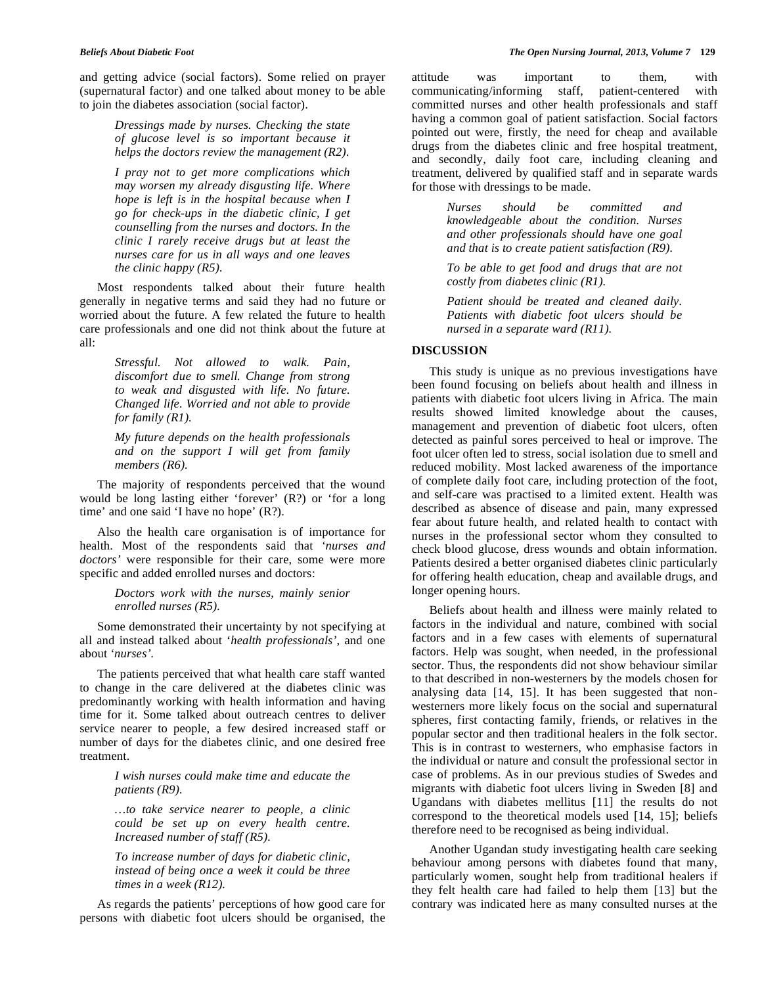and getting advice (social factors). Some relied on prayer (supernatural factor) and one talked about money to be able to join the diabetes association (social factor).

> *Dressings made by nurses. Checking the state of glucose level is so important because it helps the doctors review the management (R2).*

> *I pray not to get more complications which may worsen my already disgusting life. Where hope is left is in the hospital because when I go for check-ups in the diabetic clinic, I get counselling from the nurses and doctors. In the clinic I rarely receive drugs but at least the nurses care for us in all ways and one leaves the clinic happy (R5).*

 Most respondents talked about their future health generally in negative terms and said they had no future or worried about the future. A few related the future to health care professionals and one did not think about the future at all:

> *Stressful. Not allowed to walk. Pain, discomfort due to smell. Change from strong to weak and disgusted with life. No future. Changed life. Worried and not able to provide for family (R1).*

> *My future depends on the health professionals and on the support I will get from family members (R6).*

 The majority of respondents perceived that the wound would be long lasting either 'forever' (R?) or 'for a long time' and one said 'I have no hope' (R?).

 Also the health care organisation is of importance for health. Most of the respondents said that *'nurses and doctors'* were responsible for their care, some were more specific and added enrolled nurses and doctors:

> *Doctors work with the nurses, mainly senior enrolled nurses (R5).*

 Some demonstrated their uncertainty by not specifying at all and instead talked about '*health professionals'*, and one about *'nurses'.* 

 The patients perceived that what health care staff wanted to change in the care delivered at the diabetes clinic was predominantly working with health information and having time for it. Some talked about outreach centres to deliver service nearer to people, a few desired increased staff or number of days for the diabetes clinic, and one desired free treatment.

> *I wish nurses could make time and educate the patients (R9).*

> *…to take service nearer to people, a clinic could be set up on every health centre. Increased number of staff (R5).*

> *To increase number of days for diabetic clinic, instead of being once a week it could be three times in a week (R12).*

 As regards the patients' perceptions of how good care for persons with diabetic foot ulcers should be organised, the attitude was important to them, with communicating/informing staff, patient-centered with committed nurses and other health professionals and staff having a common goal of patient satisfaction. Social factors pointed out were, firstly, the need for cheap and available drugs from the diabetes clinic and free hospital treatment, and secondly, daily foot care, including cleaning and treatment, delivered by qualified staff and in separate wards for those with dressings to be made.

> *Nurses should be committed and knowledgeable about the condition. Nurses and other professionals should have one goal and that is to create patient satisfaction (R9).*

> *To be able to get food and drugs that are not costly from diabetes clinic (R1).*

> *Patient should be treated and cleaned daily. Patients with diabetic foot ulcers should be nursed in a separate ward (R11).*

# **DISCUSSION**

 This study is unique as no previous investigations have been found focusing on beliefs about health and illness in patients with diabetic foot ulcers living in Africa. The main results showed limited knowledge about the causes, management and prevention of diabetic foot ulcers, often detected as painful sores perceived to heal or improve. The foot ulcer often led to stress, social isolation due to smell and reduced mobility. Most lacked awareness of the importance of complete daily foot care, including protection of the foot, and self-care was practised to a limited extent. Health was described as absence of disease and pain, many expressed fear about future health, and related health to contact with nurses in the professional sector whom they consulted to check blood glucose, dress wounds and obtain information. Patients desired a better organised diabetes clinic particularly for offering health education, cheap and available drugs, and longer opening hours.

 Beliefs about health and illness were mainly related to factors in the individual and nature, combined with social factors and in a few cases with elements of supernatural factors. Help was sought, when needed, in the professional sector. Thus, the respondents did not show behaviour similar to that described in non-westerners by the models chosen for analysing data [14, 15]. It has been suggested that nonwesterners more likely focus on the social and supernatural spheres, first contacting family, friends, or relatives in the popular sector and then traditional healers in the folk sector. This is in contrast to westerners, who emphasise factors in the individual or nature and consult the professional sector in case of problems. As in our previous studies of Swedes and migrants with diabetic foot ulcers living in Sweden [8] and Ugandans with diabetes mellitus [11] the results do not correspond to the theoretical models used [14, 15]; beliefs therefore need to be recognised as being individual.

 Another Ugandan study investigating health care seeking behaviour among persons with diabetes found that many, particularly women, sought help from traditional healers if they felt health care had failed to help them [13] but the contrary was indicated here as many consulted nurses at the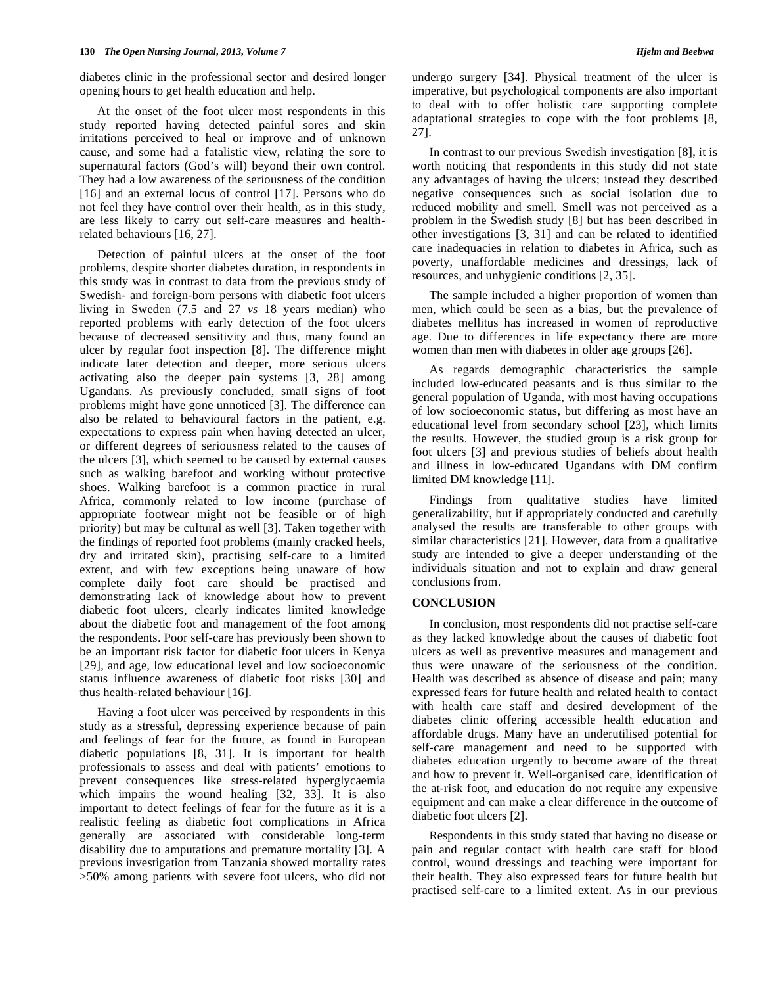diabetes clinic in the professional sector and desired longer opening hours to get health education and help.

 At the onset of the foot ulcer most respondents in this study reported having detected painful sores and skin irritations perceived to heal or improve and of unknown cause, and some had a fatalistic view, relating the sore to supernatural factors (God's will) beyond their own control. They had a low awareness of the seriousness of the condition [16] and an external locus of control [17]. Persons who do not feel they have control over their health, as in this study, are less likely to carry out self-care measures and healthrelated behaviours [16, 27].

 Detection of painful ulcers at the onset of the foot problems, despite shorter diabetes duration, in respondents in this study was in contrast to data from the previous study of Swedish- and foreign-born persons with diabetic foot ulcers living in Sweden (7.5 and 27 *vs* 18 years median) who reported problems with early detection of the foot ulcers because of decreased sensitivity and thus, many found an ulcer by regular foot inspection [8]. The difference might indicate later detection and deeper, more serious ulcers activating also the deeper pain systems [3, 28] among Ugandans. As previously concluded, small signs of foot problems might have gone unnoticed [3]. The difference can also be related to behavioural factors in the patient, e.g. expectations to express pain when having detected an ulcer, or different degrees of seriousness related to the causes of the ulcers [3], which seemed to be caused by external causes such as walking barefoot and working without protective shoes. Walking barefoot is a common practice in rural Africa, commonly related to low income (purchase of appropriate footwear might not be feasible or of high priority) but may be cultural as well [3]. Taken together with the findings of reported foot problems (mainly cracked heels, dry and irritated skin), practising self-care to a limited extent, and with few exceptions being unaware of how complete daily foot care should be practised and demonstrating lack of knowledge about how to prevent diabetic foot ulcers, clearly indicates limited knowledge about the diabetic foot and management of the foot among the respondents. Poor self-care has previously been shown to be an important risk factor for diabetic foot ulcers in Kenya [29], and age, low educational level and low socioeconomic status influence awareness of diabetic foot risks [30] and thus health-related behaviour [16].

 Having a foot ulcer was perceived by respondents in this study as a stressful, depressing experience because of pain and feelings of fear for the future, as found in European diabetic populations [8, 31]. It is important for health professionals to assess and deal with patients' emotions to prevent consequences like stress-related hyperglycaemia which impairs the wound healing [32, 33]. It is also important to detect feelings of fear for the future as it is a realistic feeling as diabetic foot complications in Africa generally are associated with considerable long-term disability due to amputations and premature mortality [3]. A previous investigation from Tanzania showed mortality rates >50% among patients with severe foot ulcers, who did not undergo surgery [34]. Physical treatment of the ulcer is imperative, but psychological components are also important to deal with to offer holistic care supporting complete adaptational strategies to cope with the foot problems [8, 27].

 In contrast to our previous Swedish investigation [8], it is worth noticing that respondents in this study did not state any advantages of having the ulcers; instead they described negative consequences such as social isolation due to reduced mobility and smell. Smell was not perceived as a problem in the Swedish study [8] but has been described in other investigations [3, 31] and can be related to identified care inadequacies in relation to diabetes in Africa, such as poverty, unaffordable medicines and dressings, lack of resources, and unhygienic conditions [2, 35].

 The sample included a higher proportion of women than men, which could be seen as a bias, but the prevalence of diabetes mellitus has increased in women of reproductive age. Due to differences in life expectancy there are more women than men with diabetes in older age groups [26].

 As regards demographic characteristics the sample included low-educated peasants and is thus similar to the general population of Uganda, with most having occupations of low socioeconomic status, but differing as most have an educational level from secondary school [23], which limits the results. However, the studied group is a risk group for foot ulcers [3] and previous studies of beliefs about health and illness in low-educated Ugandans with DM confirm limited DM knowledge [11].

 Findings from qualitative studies have limited generalizability, but if appropriately conducted and carefully analysed the results are transferable to other groups with similar characteristics [21]. However, data from a qualitative study are intended to give a deeper understanding of the individuals situation and not to explain and draw general conclusions from.

# **CONCLUSION**

 In conclusion, most respondents did not practise self-care as they lacked knowledge about the causes of diabetic foot ulcers as well as preventive measures and management and thus were unaware of the seriousness of the condition. Health was described as absence of disease and pain; many expressed fears for future health and related health to contact with health care staff and desired development of the diabetes clinic offering accessible health education and affordable drugs. Many have an underutilised potential for self-care management and need to be supported with diabetes education urgently to become aware of the threat and how to prevent it. Well-organised care, identification of the at-risk foot, and education do not require any expensive equipment and can make a clear difference in the outcome of diabetic foot ulcers [2].

 Respondents in this study stated that having no disease or pain and regular contact with health care staff for blood control, wound dressings and teaching were important for their health. They also expressed fears for future health but practised self-care to a limited extent. As in our previous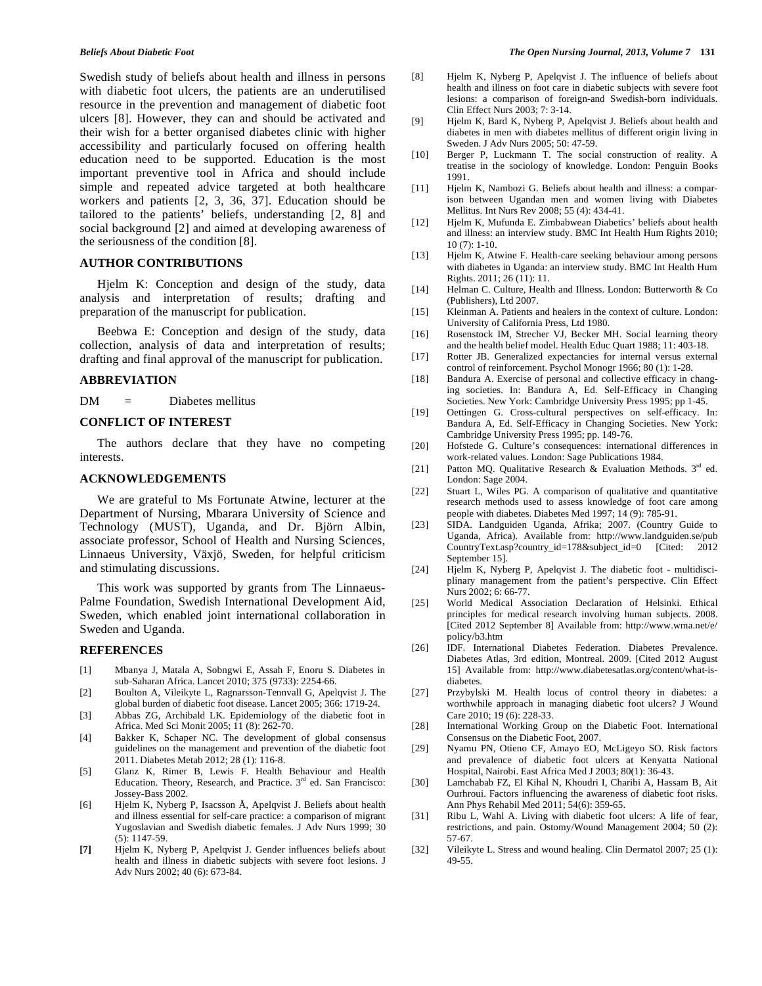Swedish study of beliefs about health and illness in persons with diabetic foot ulcers, the patients are an underutilised resource in the prevention and management of diabetic foot ulcers [8]. However, they can and should be activated and their wish for a better organised diabetes clinic with higher accessibility and particularly focused on offering health education need to be supported. Education is the most important preventive tool in Africa and should include simple and repeated advice targeted at both healthcare workers and patients [2, 3, 36, 37]. Education should be tailored to the patients' beliefs, understanding [2, 8] and social background [2] and aimed at developing awareness of the seriousness of the condition [8].

#### **AUTHOR CONTRIBUTIONS**

 Hjelm K: Conception and design of the study, data analysis and interpretation of results; drafting and preparation of the manuscript for publication.

 Beebwa E: Conception and design of the study, data collection, analysis of data and interpretation of results; drafting and final approval of the manuscript for publication.

# **ABBREVIATION**

DM = Diabetes mellitus

#### **CONFLICT OF INTEREST**

 The authors declare that they have no competing interests.

# **ACKNOWLEDGEMENTS**

 We are grateful to Ms Fortunate Atwine, lecturer at the Department of Nursing, Mbarara University of Science and Technology (MUST), Uganda, and Dr. Björn Albin, associate professor, School of Health and Nursing Sciences, Linnaeus University, Växjö, Sweden, for helpful criticism and stimulating discussions.

 This work was supported by grants from The Linnaeus-Palme Foundation, Swedish International Development Aid, Sweden, which enabled joint international collaboration in Sweden and Uganda.

# **REFERENCES**

- [1] Mbanya J, Matala A, Sobngwi E, Assah F, Enoru S. Diabetes in sub-Saharan Africa. Lancet 2010; 375 (9733): 2254-66.
- [2] Boulton A, Vileikyte L, Ragnarsson-Tennvall G, Apelqvist J. The global burden of diabetic foot disease. Lancet 2005; 366: 1719-24.
- [3] Abbas ZG, Archibald LK. Epidemiology of the diabetic foot in Africa. Med Sci Monit 2005; 11 (8): 262-70.
- [4] Bakker K, Schaper NC. The development of global consensus guidelines on the management and prevention of the diabetic foot 2011. Diabetes Metab 2012; 28 (1): 116-8.
- [5] Glanz K, Rimer B, Lewis F. Health Behaviour and Health Education. Theory, Research, and Practice.  $3<sup>rd</sup>$  ed. San Francisco: Jossey-Bass 2002.
- [6] Hjelm K, Nyberg P, Isacsson Å, Apelqvist J. Beliefs about health and illness essential for self-care practice: a comparison of migrant Yugoslavian and Swedish diabetic females. J Adv Nurs 1999; 30 (5): 1147-59.
- **[7]** Hjelm K, Nyberg P, Apelqvist J. Gender influences beliefs about health and illness in diabetic subjects with severe foot lesions. J Adv Nurs 2002; 40 (6): 673-84.
- [8] Hjelm K, Nyberg P, Apelqvist J. The influence of beliefs about health and illness on foot care in diabetic subjects with severe foot lesions: a comparison of foreign-and Swedish-born individuals. Clin Effect Nurs 2003; 7: 3-14.
- [9] Hjelm K, Bard K, Nyberg P, Apelqvist J. Beliefs about health and diabetes in men with diabetes mellitus of different origin living in Sweden. J Adv Nurs 2005; 50: 47-59.
- [10] Berger P, Luckmann T. The social construction of reality. A treatise in the sociology of knowledge. London: Penguin Books 1991.
- [11] Hjelm K, Nambozi G. Beliefs about health and illness: a comparison between Ugandan men and women living with Diabetes Mellitus. Int Nurs Rev 2008; 55 (4): 434-41.
- [12] Hjelm K, Mufunda E. Zimbabwean Diabetics' beliefs about health and illness: an interview study. BMC Int Health Hum Rights 2010; 10 (7): 1-10.
- [13] Hjelm K, Atwine F. Health-care seeking behaviour among persons with diabetes in Uganda: an interview study. BMC Int Health Hum Rights. 2011; 26 (11): 11.
- [14] Helman C. Culture, Health and Illness. London: Butterworth & Co (Publishers), Ltd 2007.
- [15] Kleinman A. Patients and healers in the context of culture. London: University of California Press, Ltd 1980.
- [16] Rosenstock IM, Strecher VJ, Becker MH. Social learning theory and the health belief model. Health Educ Quart 1988; 11: 403-18.
- [17] Rotter JB. Generalized expectancies for internal versus external control of reinforcement. Psychol Monogr 1966; 80 (1): 1-28.
- [18] Bandura A. Exercise of personal and collective efficacy in changing societies. In: Bandura A, Ed. Self-Efficacy in Changing Societies. New York: Cambridge University Press 1995; pp 1-45.
- [19] Oettingen G. Cross-cultural perspectives on self-efficacy. In: Bandura A, Ed. Self-Efficacy in Changing Societies. New York: Cambridge University Press 1995; pp. 149-76.
- [20] Hofstede G. Culture's consequences: international differences in work-related values. London: Sage Publications 1984.
- [21] Patton MQ. Qualitative Research & Evaluation Methods.  $3<sup>rd</sup>$  ed. London: Sage 2004.
- [22] Stuart L, Wiles PG. A comparison of qualitative and quantitative research methods used to assess knowledge of foot care among people with diabetes. Diabetes Med 1997; 14 (9): 785-91.
- [23] SIDA. Landguiden Uganda, Afrika; 2007. (Country Guide to Uganda, Africa). Available from: http://www.landguiden.se/pub CountryText.asp?country\_id=178&subject\_id=0 [Cited: 2012 September 15].
- [24] Hjelm K, Nyberg P, Apelqvist J. The diabetic foot multidisciplinary management from the patient's perspective. Clin Effect Nurs 2002; 6: 66-77.
- [25] World Medical Association Declaration of Helsinki. Ethical principles for medical research involving human subjects. 2008. [Cited 2012 September 8] Available from: http://www.wma.net/e/ policy/b3.htm
- [26] IDF. International Diabetes Federation. Diabetes Prevalence. Diabetes Atlas, 3rd edition, Montreal. 2009. [Cited 2012 August 15] Available from: http://www.diabetesatlas.org/content/what-isdiabetes.
- [27] Przybylski M. Health locus of control theory in diabetes: a worthwhile approach in managing diabetic foot ulcers? J Wound Care 2010; 19 (6): 228-33.
- [28] International Working Group on the Diabetic Foot. International Consensus on the Diabetic Foot, 2007.
- [29] Nyamu PN, Otieno CF, Amayo EO, McLigeyo SO. Risk factors and prevalence of diabetic foot ulcers at Kenyatta National Hospital, Nairobi. East Africa Med J 2003; 80(1): 36-43.
- [30] Lamchabab FZ, El Kihal N, Khoudri I, Charibi A, Hassam B, Ait Ourhroui. Factors influencing the awareness of diabetic foot risks. Ann Phys Rehabil Med 2011; 54(6): 359-65.
- [31] Ribu L, Wahl A. Living with diabetic foot ulcers: A life of fear, restrictions, and pain. Ostomy/Wound Management 2004; 50 (2): 57-67.
- [32] Vileikyte L. Stress and wound healing. Clin Dermatol 2007; 25 (1): 49-55.